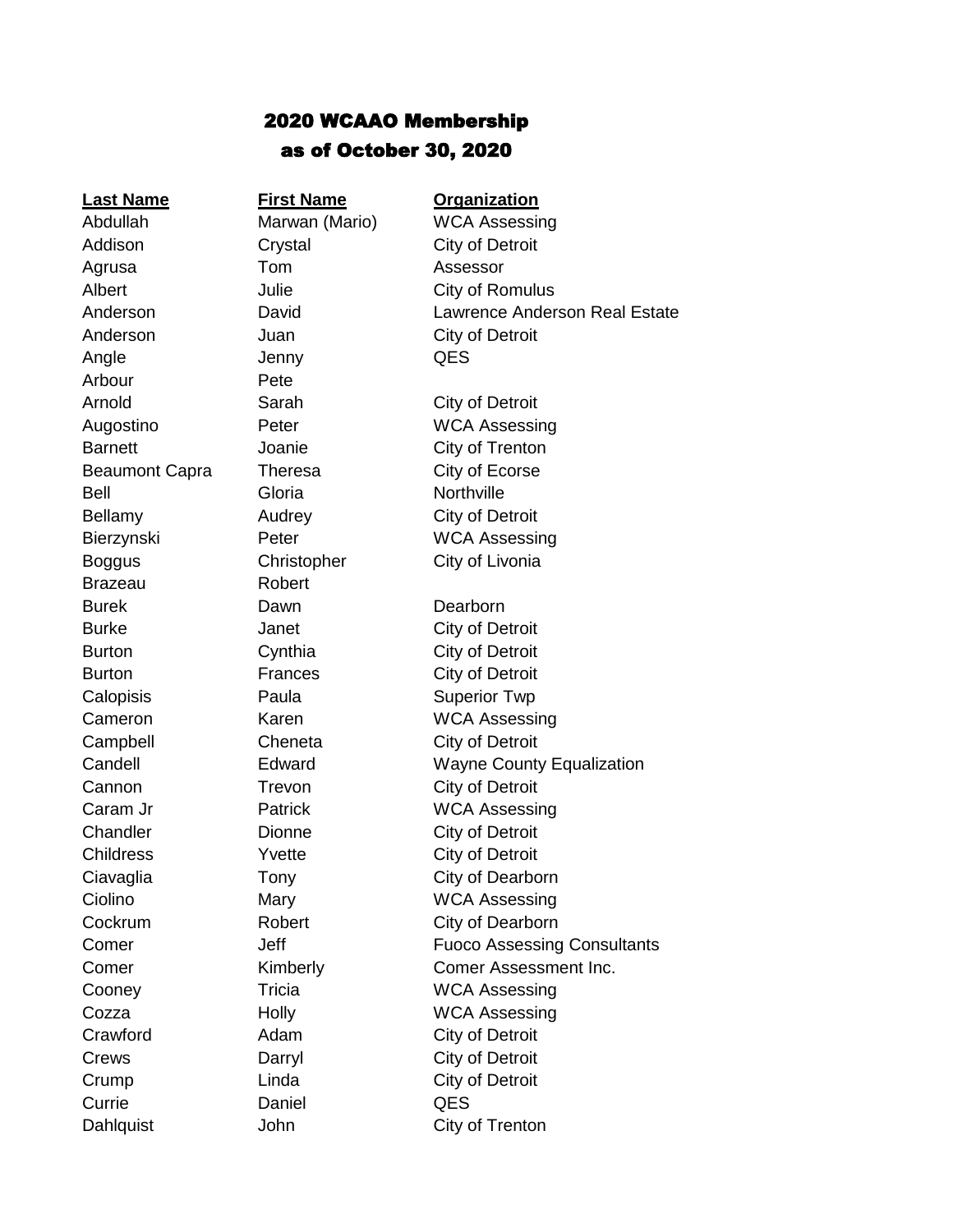## 2020 WCAAO Membership as of October 30, 2020

**Last Name First Name Organization** Addison Crystal City of Detroit Agrusa Tom Assessor Anderson Juan City of Detroit Angle **Jenny** QES Arbour Pete Arnold Sarah City of Detroit Beaumont Capra Theresa City of Ecorse Bell Gloria Northville Bellamy **Audrey** City of Detroit Boggus Christopher City of Livonia Brazeau Robert Burek Dawn Dawn Dearborn Burke **Janet** City of Detroit Burton Cynthia City of Detroit Burton **Frances** City of Detroit Calopisis Paula Superior Twp Campbell Cheneta City of Detroit Cannon Trevon City of Detroit Chandler **Dionne** City of Detroit Childress **Yvette** City of Detroit Crawford Adam City of Detroit Crews Darryl City of Detroit Crump Linda City of Detroit Currie Daniel QES

Abdullah Marwan (Mario) WCA Assessing Albert **Julie City of Romulus** Anderson David Lawrence Anderson Real Estate Augostino Peter WCA Assessing Barnett **City of Trenton** Bierzynski Peter WCA Assessing Cameron Karen WCA Assessing Candell Edward Wayne County Equalization Caram Jr **Patrick** WCA Assessing Ciavaglia **Tony** City of Dearborn Ciolino Mary Mary WCA Assessing Cockrum **Robert** City of Dearborn **Comer Comer** Jeff **Fuoco Assessing Consultants Comer Kimberly Comer Assessment Inc.** Cooney Tricia WCA Assessing Cozza **Holly** Holly WCA Assessing Dahlquist **John** City of Trenton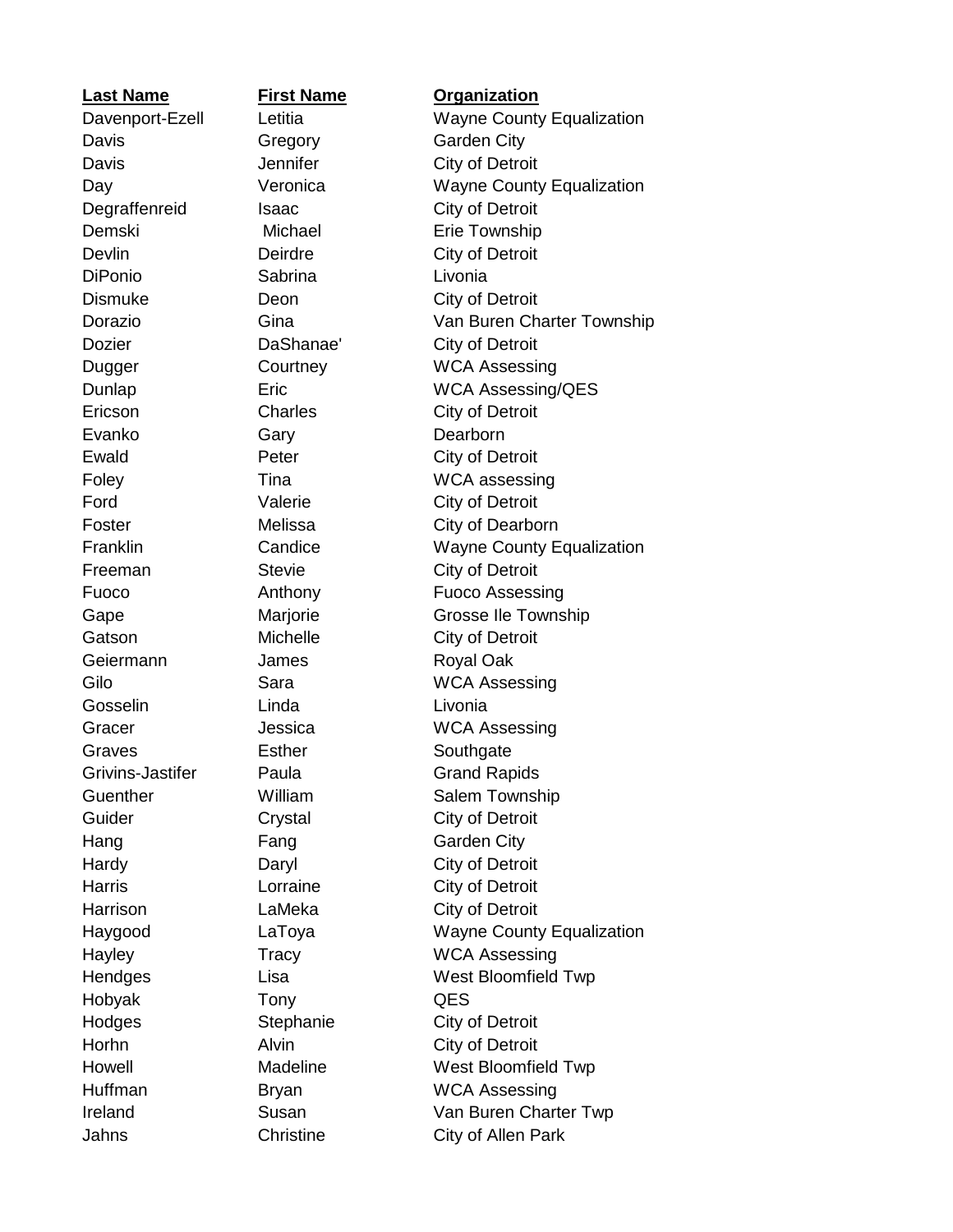**Last Name First Name Organization** Davis Gregory Garden City Davis **Davis** Jennifer **City of Detroit** Degraffenreid Isaac City of Detroit Demski Michael Erie Township Devlin Deirdre City of Detroit DiPonio Sabrina Livonia Dismuke Deon City of Detroit Dozier **DaShanae'** City of Detroit Ericson Charles Charles City of Detroit Evanko Gary Gary Dearborn Ewald **Peter** Peter City of Detroit Ford Valerie City of Detroit Freeman Stevie City of Detroit Gatson Michelle City of Detroit Geiermann James Royal Oak Gosselin Linda Livonia Graves Esther Southgate Grivins-Jastifer Paula Grand Rapids Guider Crystal Crystal City of Detroit Hang Fang Garden City Hardy Daryl Daryl City of Detroit Harris **Lorraine** City of Detroit Harrison **LaMeka** City of Detroit Hobyak Tony QES Hodges Stephanie City of Detroit Horhn Alvin City of Detroit

Davenport-Ezell Letitia Wayne County Equalization Day **Veronica** Wayne County Equalization Dorazio Gina Van Buren Charter Township Dugger Courtney WCA Assessing Dunlap Eric WCA Assessing/QES Foley Tina WCA assessing Foster Melissa City of Dearborn Franklin Candice Wayne County Equalization Fuoco **Anthony** Fuoco Assessing Gape Marjorie Grosse Ile Township Gilo Sara WCA Assessing Gracer **Contracts** Jessica **MCA** Assessing Guenther **William** Salem Township Haygood LaToya Wayne County Equalization Hayley Tracy WCA Assessing Hendges Lisa West Bloomfield Twp Howell Madeline Madeline West Bloomfield Twp Huffman Bryan WCA Assessing Ireland Susan Van Buren Charter Twp Jahns Christine City of Allen Park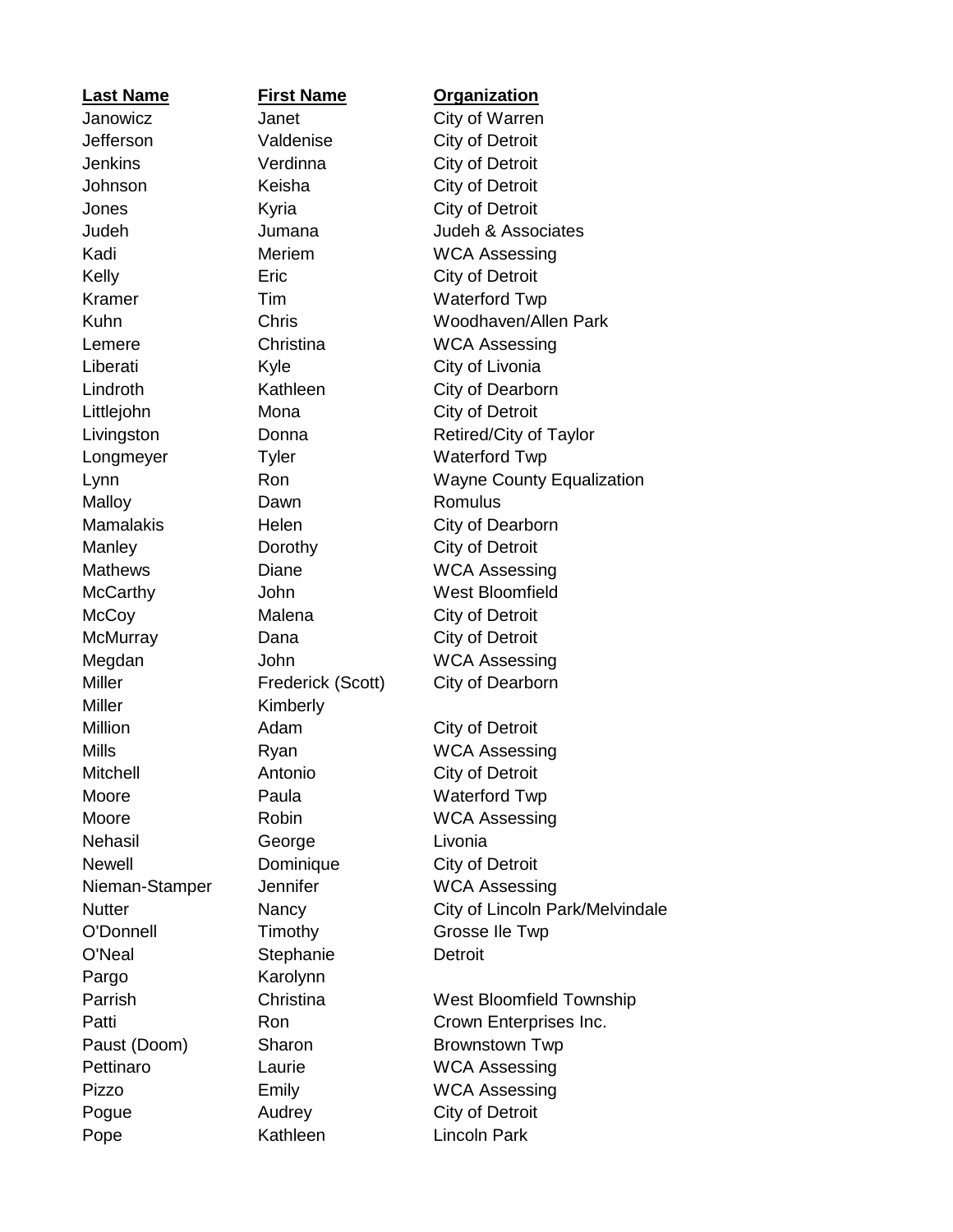**Last Name First Name Organization** Jefferson Valdenise City of Detroit Jenkins Verdinna City of Detroit Johnson Keisha City of Detroit Jones **Kyria** Kyria City of Detroit Kelly **Eric** City of Detroit Liberati Kyle City of Livonia Littlejohn Mona City of Detroit Malloy **Dawn** Dawn Romulus Manley **Dorothy** City of Detroit McCoy Malena City of Detroit McMurray Dana City of Detroit Miller Kimberly Million **Adam** Adam City of Detroit Mitchell Antonio City of Detroit Nehasil George Livonia Newell **Dominique** City of Detroit O'Neal Stephanie Detroit Pargo Karolynn Pogue **Audrey** City of Detroit Pope Kathleen Lincoln Park

## Janowicz **Janet** City of Warren Judeh Jumana Judeh & Associates Kadi Meriem WCA Assessing Kramer Tim Waterford Twp Kuhn Chris Woodhaven/Allen Park Lemere Christina WCA Assessing Lindroth **Kathleen** City of Dearborn Livingston Donna Retired/City of Taylor Longmeyer Tyler Waterford Twp Lynn Ron Ron Wayne County Equalization Mamalakis Helen City of Dearborn Mathews Diane Diane WCA Assessing McCarthy **John** Vest Bloomfield Megdan John WCA Assessing Miller Frederick (Scott) City of Dearborn Mills Ryan Ryan WCA Assessing Moore **Paula** Paula Waterford Twp Moore Robin WCA Assessing Nieman-Stamper Jennifer WCA Assessing Nutter Nancy City of Lincoln Park/Melvindale O'Donnell Timothy Grosse Ile Twp Parrish Christina West Bloomfield Township Patti **Ron** Ron Crown Enterprises Inc. Paust (Doom) Sharon Brownstown Twp Pettinaro Laurie WCA Assessing Pizzo **Emily** Emily WCA Assessing